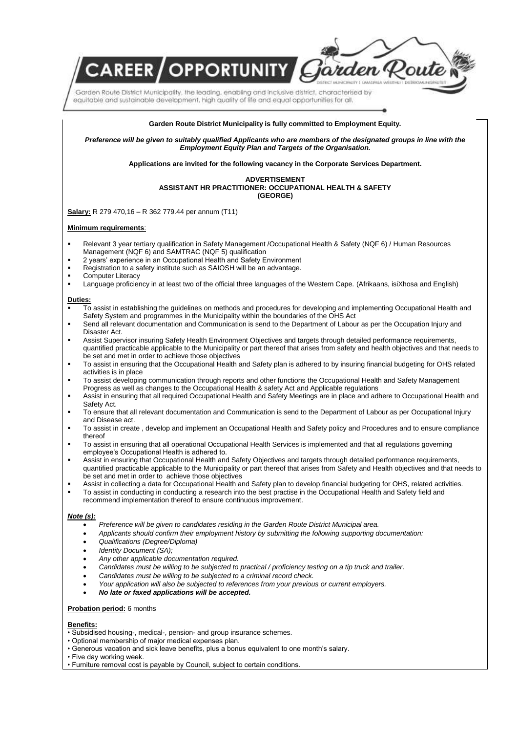Garden Route District Municipality, the leading, enabling and inclusive district, characterised by equitable and sustainable development, high quality of life and equal opportunities for all,

**REER OPPORTUNITY** 

#### **Garden Route District Municipality is fully committed to Employment Equity.**

rden Poute

*Preference will be given to suitably qualified Applicants who are members of the designated groups in line with the Employment Equity Plan and Targets of the Organisation.*

**Applications are invited for the following vacancy in the Corporate Services Department.**

### **ADVERTISEMENT ASSISTANT HR PRACTITIONER: OCCUPATIONAL HEALTH & SAFETY (GEORGE)**

**Salary:** R 279 470,16 – R 362 779.44 per annum (T11)

## **Minimum requirements**:

- Relevant 3 year tertiary qualification in Safety Management /Occupational Health & Safety (NQF 6) / Human Resources Management (NQF 6) and SAMTRAC (NQF 5) qualification
- 2 years' experience in an Occupational Health and Safety Environment
- **Registration to a safety institute such as SAIOSH will be an advantage.**
- Computer Literacy<br>Language proficient
- Language proficiency in at least two of the official three languages of the Western Cape. (Afrikaans, isiXhosa and English)

## **Duties:**

- To assist in establishing the guidelines on methods and procedures for developing and implementing Occupational Health and Safety System and programmes in the Municipality within the boundaries of the OHS Act
- Send all relevant documentation and Communication is send to the Department of Labour as per the Occupation Injury and Disaster Act.
- Assist Supervisor insuring Safety Health Environment Objectives and targets through detailed performance requirements, quantified practicable applicable to the Municipality or part thereof that arises from safety and health objectives and that needs to be set and met in order to achieve those objectives
- To assist in ensuring that the Occupational Health and Safety plan is adhered to by insuring financial budgeting for OHS related activities is in place
- To assist developing communication through reports and other functions the Occupational Health and Safety Management Progress as well as changes to the Occupational Health & safety Act and Applicable regulations
- Assist in ensuring that all required Occupational Health and Safety Meetings are in place and adhere to Occupational Health and Safety Act.
- To ensure that all relevant documentation and Communication is send to the Department of Labour as per Occupational Injury and Disease act.
- To assist in create , develop and implement an Occupational Health and Safety policy and Procedures and to ensure compliance thereof
- To assist in ensuring that all operational Occupational Health Services is implemented and that all regulations governing employee's Occupational Health is adhered to.
- Assist in ensuring that Occupational Health and Safety Objectives and targets through detailed performance requirements, quantified practicable applicable to the Municipality or part thereof that arises from Safety and Health objectives and that needs to be set and met in order to achieve those objectives
- Assist in collecting a data for Occupational Health and Safety plan to develop financial budgeting for OHS, related activities.
- To assist in conducting in conducting a research into the best practise in the Occupational Health and Safety field and recommend implementation thereof to ensure continuous improvement.

## *Note (s):*

- *Preference will be given to candidates residing in the Garden Route District Municipal area.*
- *Applicants should confirm their employment history by submitting the following supporting documentation:*
- *Qualifications (Degree/Diploma)*
- *Identity Document (SA);*
- *Any other applicable documentation required.*
- *Candidates must be willing to be subjected to practical / proficiency testing on a tip truck and trailer.*
- *Candidates must be willing to be subjected to a criminal record check.*
- *Your application will also be subjected to references from your previous or current employers.*
- *No late or faxed applications will be accepted.*

## **Probation period:** 6 months

#### **Benefits:**

• Subsidised housing-, medical-, pension- and group insurance schemes.

- Optional membership of major medical expenses plan.
- Generous vacation and sick leave benefits, plus a bonus equivalent to one month's salary.

• Five day working week.

• Furniture removal cost is payable by Council, subject to certain conditions.